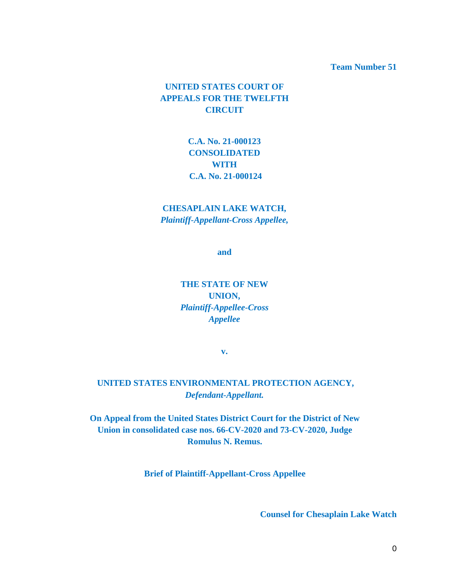#### **Team Number 51**

### **UNITED STATES COURT OF APPEALS FOR THE TWELFTH CIRCUIT**

### **C.A. No. 21-000123 CONSOLIDATED WITH C.A. No. 21-000124**

### **CHESAPLAIN LAKE WATCH,** *Plaintiff-Appellant-Cross Appellee,*

**and**

**THE STATE OF NEW UNION,** *Plaintiff-Appellee-Cross Appellee* 

**v.** 

### **UNITED STATES ENVIRONMENTAL PROTECTION AGENCY,** *Defendant-Appellant.*

**On Appeal from the United States District Court for the District of New Union in consolidated case nos. 66-CV-2020 and 73-CV-2020, Judge Romulus N. Remus.**

**Brief of Plaintiff-Appellant-Cross Appellee**

**Counsel for Chesaplain Lake Watch**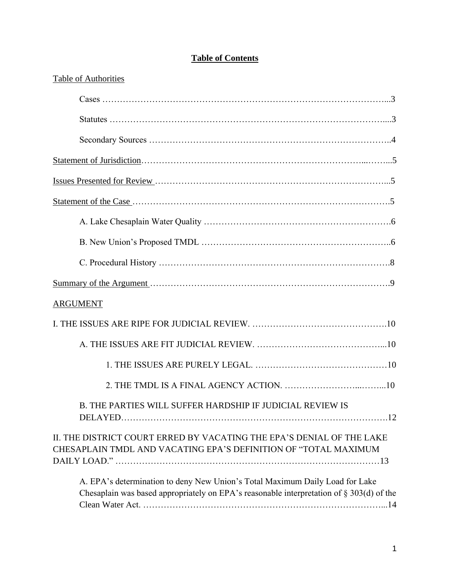### **Table of Contents**

| <b>Table of Authorities</b>                                                                                                                                                 |
|-----------------------------------------------------------------------------------------------------------------------------------------------------------------------------|
|                                                                                                                                                                             |
|                                                                                                                                                                             |
|                                                                                                                                                                             |
|                                                                                                                                                                             |
|                                                                                                                                                                             |
|                                                                                                                                                                             |
|                                                                                                                                                                             |
|                                                                                                                                                                             |
|                                                                                                                                                                             |
|                                                                                                                                                                             |
| <b>ARGUMENT</b>                                                                                                                                                             |
|                                                                                                                                                                             |
|                                                                                                                                                                             |
|                                                                                                                                                                             |
|                                                                                                                                                                             |
| B. THE PARTIES WILL SUFFER HARDSHIP IF JUDICIAL REVIEW IS                                                                                                                   |
| II. THE DISTRICT COURT ERRED BY VACATING THE EPA'S DENIAL OF THE LAKE<br>CHESAPLAIN TMDL AND VACATING EPA'S DEFINITION OF "TOTAL MAXIMUM                                    |
| A. EPA's determination to deny New Union's Total Maximum Daily Load for Lake<br>Chesaplain was based appropriately on EPA's reasonable interpretation of $\S 303(d)$ of the |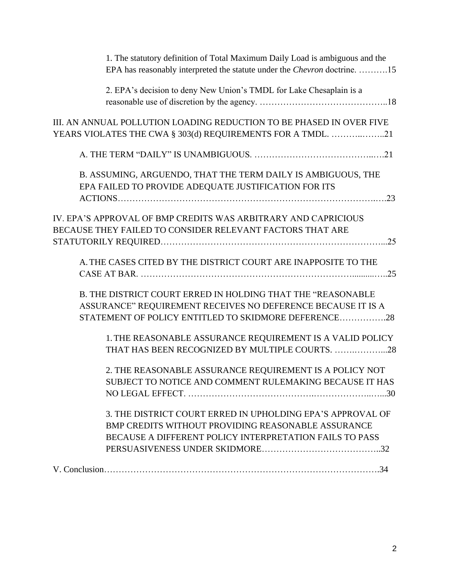| 1. The statutory definition of Total Maximum Daily Load is ambiguous and the<br>EPA has reasonably interpreted the statute under the Chevron doctrine. 15                                  |
|--------------------------------------------------------------------------------------------------------------------------------------------------------------------------------------------|
| 2. EPA's decision to deny New Union's TMDL for Lake Chesaplain is a                                                                                                                        |
| III. AN ANNUAL POLLUTION LOADING REDUCTION TO BE PHASED IN OVER FIVE<br>YEARS VIOLATES THE CWA § 303(d) REQUIREMENTS FOR A TMDL. 21                                                        |
|                                                                                                                                                                                            |
| B. ASSUMING, ARGUENDO, THAT THE TERM DAILY IS AMBIGUOUS, THE<br>EPA FAILED TO PROVIDE ADEQUATE JUSTIFICATION FOR ITS                                                                       |
| IV. EPA'S APPROVAL OF BMP CREDITS WAS ARBITRARY AND CAPRICIOUS<br>BECAUSE THEY FAILED TO CONSIDER RELEVANT FACTORS THAT ARE                                                                |
| A. THE CASES CITED BY THE DISTRICT COURT ARE INAPPOSITE TO THE                                                                                                                             |
| <b>B. THE DISTRICT COURT ERRED IN HOLDING THAT THE "REASONABLE</b><br>ASSURANCE" REQUIREMENT RECEIVES NO DEFERENCE BECAUSE IT IS A<br>STATEMENT OF POLICY ENTITLED TO SKIDMORE DEFERENCE28 |
| 1. THE REASONABLE ASSURANCE REQUIREMENT IS A VALID POLICY<br>THAT HAS BEEN RECOGNIZED BY MULTIPLE COURTS. 28                                                                               |
| 2. THE REASONABLE ASSURANCE REQUIREMENT IS A POLICY NOT<br>SUBJECT TO NOTICE AND COMMENT RULEMAKING BECAUSE IT HAS                                                                         |
| 3. THE DISTRICT COURT ERRED IN UPHOLDING EPA'S APPROVAL OF<br><b>BMP CREDITS WITHOUT PROVIDING REASONABLE ASSURANCE</b><br>BECAUSE A DIFFERENT POLICY INTERPRETATION FAILS TO PASS         |
|                                                                                                                                                                                            |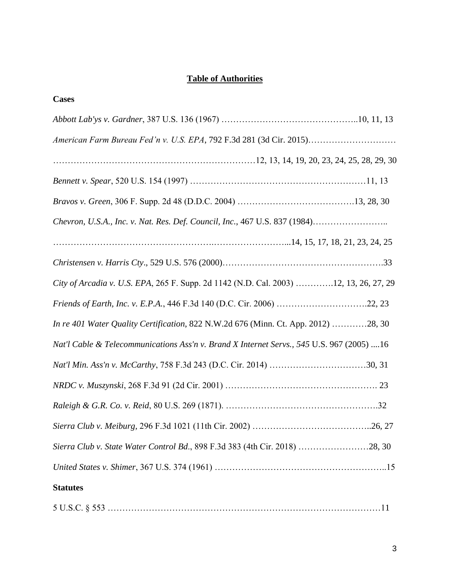## **Table of Authorities**

| <b>Cases</b>                                                                              |
|-------------------------------------------------------------------------------------------|
|                                                                                           |
| American Farm Bureau Fed'n v. U.S. EPA, 792 F.3d 281 (3d Cir. 2015)                       |
|                                                                                           |
|                                                                                           |
|                                                                                           |
| Chevron, U.S.A., Inc. v. Nat. Res. Def. Council, Inc., 467 U.S. 837 (1984)                |
|                                                                                           |
|                                                                                           |
| City of Arcadia v. U.S. EPA, 265 F. Supp. 2d 1142 (N.D. Cal. 2003) 12, 13, 26, 27, 29     |
| Friends of Earth, Inc. v. E.P.A., 446 F.3d 140 (D.C. Cir. 2006) 22, 23                    |
| In re 401 Water Quality Certification, 822 N.W.2d 676 (Minn. Ct. App. 2012) 28, 30        |
| Nat'l Cable & Telecommunications Ass'n v. Brand X Internet Servs., 545 U.S. 967 (2005) 16 |
|                                                                                           |
|                                                                                           |
|                                                                                           |
|                                                                                           |
| Sierra Club v. State Water Control Bd., 898 F.3d 383 (4th Cir. 2018) 28, 30               |
|                                                                                           |
| <b>Statutes</b>                                                                           |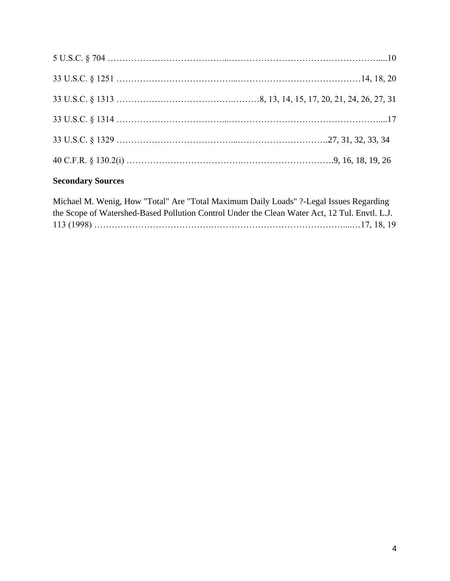## **Secondary Sources**

| Michael M. Wenig, How "Total" Are "Total Maximum Daily Loads" ?-Legal Issues Regarding        |  |
|-----------------------------------------------------------------------------------------------|--|
| the Scope of Watershed-Based Pollution Control Under the Clean Water Act, 12 Tul. Envtl. L.J. |  |
|                                                                                               |  |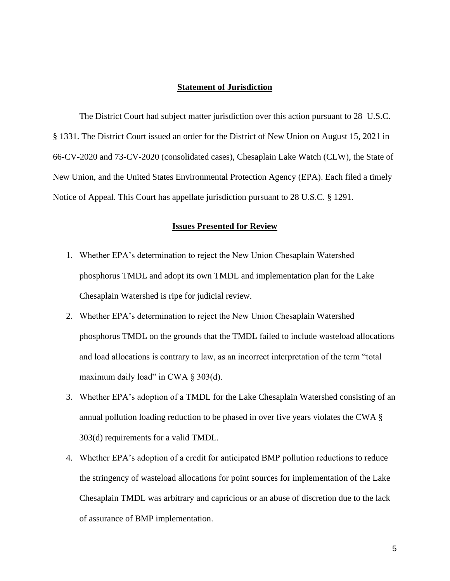#### **Statement of Jurisdiction**

The District Court had subject matter jurisdiction over this action pursuant to 28 U.S.C. § 1331. The District Court issued an order for the District of New Union on August 15, 2021 in 66-CV-2020 and 73-CV-2020 (consolidated cases), Chesaplain Lake Watch (CLW), the State of New Union, and the United States Environmental Protection Agency (EPA). Each filed a timely Notice of Appeal. This Court has appellate jurisdiction pursuant to 28 U.S.C. § 1291.

#### **Issues Presented for Review**

- 1. Whether EPA's determination to reject the New Union Chesaplain Watershed phosphorus TMDL and adopt its own TMDL and implementation plan for the Lake Chesaplain Watershed is ripe for judicial review.
- 2. Whether EPA's determination to reject the New Union Chesaplain Watershed phosphorus TMDL on the grounds that the TMDL failed to include wasteload allocations and load allocations is contrary to law, as an incorrect interpretation of the term "total maximum daily load" in CWA  $\S$  303(d).
- 3. Whether EPA's adoption of a TMDL for the Lake Chesaplain Watershed consisting of an annual pollution loading reduction to be phased in over five years violates the CWA § 303(d) requirements for a valid TMDL.
- 4. Whether EPA's adoption of a credit for anticipated BMP pollution reductions to reduce the stringency of wasteload allocations for point sources for implementation of the Lake Chesaplain TMDL was arbitrary and capricious or an abuse of discretion due to the lack of assurance of BMP implementation.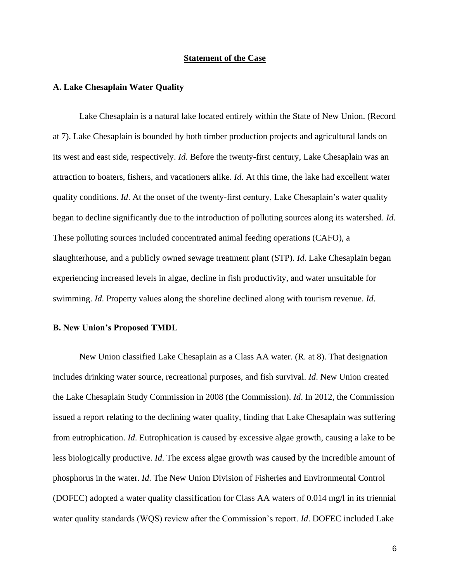#### **Statement of the Case**

#### **A. Lake Chesaplain Water Quality**

Lake Chesaplain is a natural lake located entirely within the State of New Union. (Record at 7). Lake Chesaplain is bounded by both timber production projects and agricultural lands on its west and east side, respectively. *Id*. Before the twenty-first century, Lake Chesaplain was an attraction to boaters, fishers, and vacationers alike. *Id*. At this time, the lake had excellent water quality conditions. *Id*. At the onset of the twenty-first century, Lake Chesaplain's water quality began to decline significantly due to the introduction of polluting sources along its watershed. *Id*. These polluting sources included concentrated animal feeding operations (CAFO), a slaughterhouse, and a publicly owned sewage treatment plant (STP). *Id*. Lake Chesaplain began experiencing increased levels in algae, decline in fish productivity, and water unsuitable for swimming. *Id*. Property values along the shoreline declined along with tourism revenue. *Id*.

#### **B. New Union's Proposed TMDL**

New Union classified Lake Chesaplain as a Class AA water. (R. at 8). That designation includes drinking water source, recreational purposes, and fish survival. *Id*. New Union created the Lake Chesaplain Study Commission in 2008 (the Commission). *Id*. In 2012, the Commission issued a report relating to the declining water quality, finding that Lake Chesaplain was suffering from eutrophication. *Id*. Eutrophication is caused by excessive algae growth, causing a lake to be less biologically productive. *Id*. The excess algae growth was caused by the incredible amount of phosphorus in the water. *Id*. The New Union Division of Fisheries and Environmental Control (DOFEC) adopted a water quality classification for Class AA waters of 0.014 mg/l in its triennial water quality standards (WQS) review after the Commission's report. *Id*. DOFEC included Lake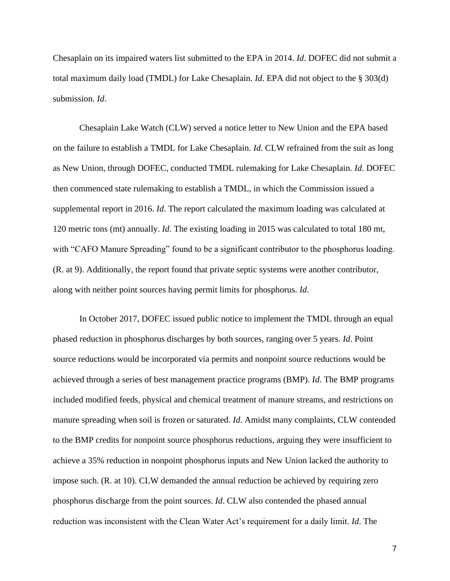Chesaplain on its impaired waters list submitted to the EPA in 2014. *Id*. DOFEC did not submit a total maximum daily load (TMDL) for Lake Chesaplain. *Id*. EPA did not object to the § 303(d) submission. *Id*.

Chesaplain Lake Watch (CLW) served a notice letter to New Union and the EPA based on the failure to establish a TMDL for Lake Chesaplain. *Id*. CLW refrained from the suit as long as New Union, through DOFEC, conducted TMDL rulemaking for Lake Chesaplain. *Id*. DOFEC then commenced state rulemaking to establish a TMDL, in which the Commission issued a supplemental report in 2016. *Id*. The report calculated the maximum loading was calculated at 120 metric tons (mt) annually. *Id*. The existing loading in 2015 was calculated to total 180 mt, with "CAFO Manure Spreading" found to be a significant contributor to the phosphorus loading. (R. at 9). Additionally, the report found that private septic systems were another contributor, along with neither point sources having permit limits for phosphorus. *Id*.

In October 2017, DOFEC issued public notice to implement the TMDL through an equal phased reduction in phosphorus discharges by both sources, ranging over 5 years. *Id*. Point source reductions would be incorporated via permits and nonpoint source reductions would be achieved through a series of best management practice programs (BMP). *Id*. The BMP programs included modified feeds, physical and chemical treatment of manure streams, and restrictions on manure spreading when soil is frozen or saturated. *Id*. Amidst many complaints, CLW contended to the BMP credits for nonpoint source phosphorus reductions, arguing they were insufficient to achieve a 35% reduction in nonpoint phosphorus inputs and New Union lacked the authority to impose such. (R. at 10). CLW demanded the annual reduction be achieved by requiring zero phosphorus discharge from the point sources. *Id*. CLW also contended the phased annual reduction was inconsistent with the Clean Water Act's requirement for a daily limit. *Id*. The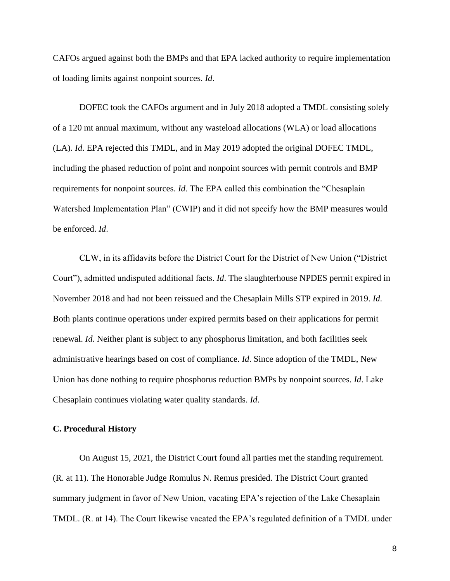CAFOs argued against both the BMPs and that EPA lacked authority to require implementation of loading limits against nonpoint sources. *Id*.

DOFEC took the CAFOs argument and in July 2018 adopted a TMDL consisting solely of a 120 mt annual maximum, without any wasteload allocations (WLA) or load allocations (LA). *Id*. EPA rejected this TMDL, and in May 2019 adopted the original DOFEC TMDL, including the phased reduction of point and nonpoint sources with permit controls and BMP requirements for nonpoint sources. *Id*. The EPA called this combination the "Chesaplain Watershed Implementation Plan" (CWIP) and it did not specify how the BMP measures would be enforced. *Id*.

CLW, in its affidavits before the District Court for the District of New Union ("District Court"), admitted undisputed additional facts. *Id*. The slaughterhouse NPDES permit expired in November 2018 and had not been reissued and the Chesaplain Mills STP expired in 2019. *Id*. Both plants continue operations under expired permits based on their applications for permit renewal. *Id*. Neither plant is subject to any phosphorus limitation, and both facilities seek administrative hearings based on cost of compliance. *Id*. Since adoption of the TMDL, New Union has done nothing to require phosphorus reduction BMPs by nonpoint sources. *Id*. Lake Chesaplain continues violating water quality standards. *Id*.

#### **C. Procedural History**

On August 15, 2021, the District Court found all parties met the standing requirement. (R. at 11). The Honorable Judge Romulus N. Remus presided. The District Court granted summary judgment in favor of New Union, vacating EPA's rejection of the Lake Chesaplain TMDL. (R. at 14). The Court likewise vacated the EPA's regulated definition of a TMDL under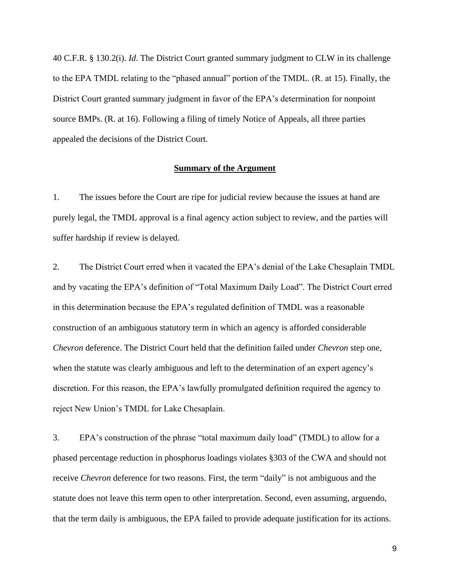40 C.F.R. § 130.2(i). *Id*. The District Court granted summary judgment to CLW in its challenge to the EPA TMDL relating to the "phased annual" portion of the TMDL. (R. at 15). Finally, the District Court granted summary judgment in favor of the EPA's determination for nonpoint source BMPs. (R. at 16). Following a filing of timely Notice of Appeals, all three parties appealed the decisions of the District Court.

#### **Summary of the Argument**

1. The issues before the Court are ripe for judicial review because the issues at hand are purely legal, the TMDL approval is a final agency action subject to review, and the parties will suffer hardship if review is delayed.

2. The District Court erred when it vacated the EPA's denial of the Lake Chesaplain TMDL and by vacating the EPA's definition of "Total Maximum Daily Load". The District Court erred in this determination because the EPA's regulated definition of TMDL was a reasonable construction of an ambiguous statutory term in which an agency is afforded considerable *Chevron* deference. The District Court held that the definition failed under *Chevron* step one, when the statute was clearly ambiguous and left to the determination of an expert agency's discretion. For this reason, the EPA's lawfully promulgated definition required the agency to reject New Union's TMDL for Lake Chesaplain.

3. EPA's construction of the phrase "total maximum daily load" (TMDL) to allow for a phased percentage reduction in phosphorus loadings violates §303 of the CWA and should not receive *Chevron* deference for two reasons. First, the term "daily" is not ambiguous and the statute does not leave this term open to other interpretation. Second, even assuming, arguendo, that the term daily is ambiguous, the EPA failed to provide adequate justification for its actions.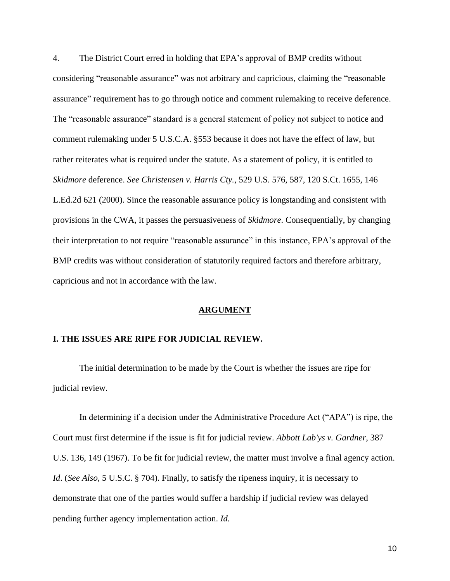4. The District Court erred in holding that EPA's approval of BMP credits without considering "reasonable assurance" was not arbitrary and capricious, claiming the "reasonable assurance" requirement has to go through notice and comment rulemaking to receive deference. The "reasonable assurance" standard is a general statement of policy not subject to notice and comment rulemaking under 5 U.S.C.A. §553 because it does not have the effect of law, but rather reiterates what is required under the statute. As a statement of policy, it is entitled to *Skidmore* deference. *See Christensen v. Harris Cty.*, 529 U.S. 576, 587, 120 S.Ct. 1655, 146 L.Ed.2d 621 (2000). Since the reasonable assurance policy is longstanding and consistent with provisions in the CWA, it passes the persuasiveness of *Skidmore*. Consequentially, by changing their interpretation to not require "reasonable assurance" in this instance, EPA's approval of the BMP credits was without consideration of statutorily required factors and therefore arbitrary, capricious and not in accordance with the law.

#### **ARGUMENT**

#### **I. THE ISSUES ARE RIPE FOR JUDICIAL REVIEW.**

The initial determination to be made by the Court is whether the issues are ripe for judicial review.

In determining if a decision under the Administrative Procedure Act ("APA") is ripe, the Court must first determine if the issue is fit for judicial review. *Abbott Lab'ys v. Gardner*, 387 U.S. 136, 149 (1967). To be fit for judicial review, the matter must involve a final agency action. *Id*. (*See Also*, 5 U.S.C. § 704). Finally, to satisfy the ripeness inquiry, it is necessary to demonstrate that one of the parties would suffer a hardship if judicial review was delayed pending further agency implementation action. *Id.*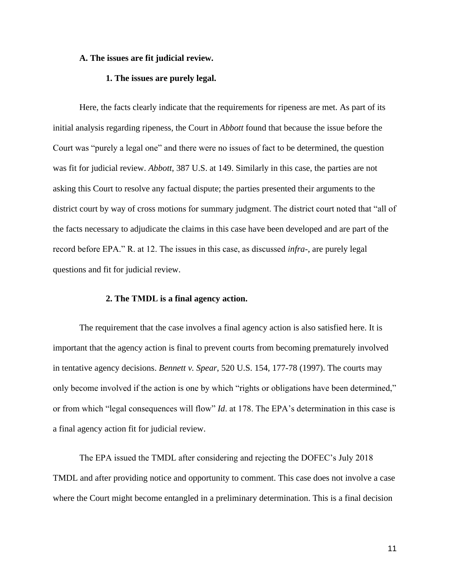#### **A. The issues are fit judicial review.**

#### **1. The issues are purely legal.**

Here, the facts clearly indicate that the requirements for ripeness are met. As part of its initial analysis regarding ripeness, the Court in *Abbott* found that because the issue before the Court was "purely a legal one" and there were no issues of fact to be determined, the question was fit for judicial review. *Abbott*, 387 U.S. at 149. Similarly in this case, the parties are not asking this Court to resolve any factual dispute; the parties presented their arguments to the district court by way of cross motions for summary judgment. The district court noted that "all of the facts necessary to adjudicate the claims in this case have been developed and are part of the record before EPA." R. at 12. The issues in this case, as discussed *infra*-, are purely legal questions and fit for judicial review.

#### **2. The TMDL is a final agency action.**

The requirement that the case involves a final agency action is also satisfied here. It is important that the agency action is final to prevent courts from becoming prematurely involved in tentative agency decisions. *Bennett v. Spear*, 520 U.S. 154, 177-78 (1997). The courts may only become involved if the action is one by which "rights or obligations have been determined," or from which "legal consequences will flow" *Id*. at 178. The EPA's determination in this case is a final agency action fit for judicial review.

The EPA issued the TMDL after considering and rejecting the DOFEC's July 2018 TMDL and after providing notice and opportunity to comment. This case does not involve a case where the Court might become entangled in a preliminary determination. This is a final decision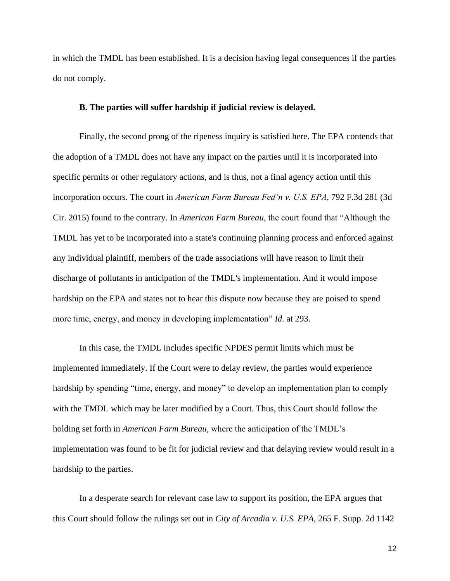in which the TMDL has been established. It is a decision having legal consequences if the parties do not comply.

#### **B. The parties will suffer hardship if judicial review is delayed.**

Finally, the second prong of the ripeness inquiry is satisfied here. The EPA contends that the adoption of a TMDL does not have any impact on the parties until it is incorporated into specific permits or other regulatory actions, and is thus, not a final agency action until this incorporation occurs. The court in *American Farm Bureau Fed'n v. U.S. EPA*, 792 F.3d 281 (3d Cir. 2015) found to the contrary. In *American Farm Bureau*, the court found that "Although the TMDL has yet to be incorporated into a state's continuing planning process and enforced against any individual plaintiff, members of the trade associations will have reason to limit their discharge of pollutants in anticipation of the TMDL's implementation. And it would impose hardship on the EPA and states not to hear this dispute now because they are poised to spend more time, energy, and money in developing implementation" *Id*. at 293.

In this case, the TMDL includes specific NPDES permit limits which must be implemented immediately. If the Court were to delay review, the parties would experience hardship by spending "time, energy, and money" to develop an implementation plan to comply with the TMDL which may be later modified by a Court. Thus, this Court should follow the holding set forth in *American Farm Bureau,* where the anticipation of the TMDL's implementation was found to be fit for judicial review and that delaying review would result in a hardship to the parties.

In a desperate search for relevant case law to support its position, the EPA argues that this Court should follow the rulings set out in *City of Arcadia v. U.S. EPA,* 265 F. Supp. 2d 1142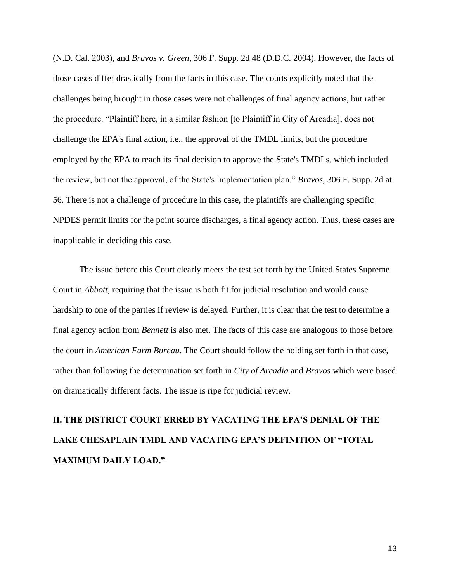(N.D. Cal. 2003), and *Bravos v. Green*, 306 F. Supp. 2d 48 (D.D.C. 2004). However, the facts of those cases differ drastically from the facts in this case. The courts explicitly noted that the challenges being brought in those cases were not challenges of final agency actions, but rather the procedure. "Plaintiff here, in a similar fashion [to Plaintiff in City of Arcadia], does not challenge the EPA's final action, i.e., the approval of the TMDL limits, but the procedure employed by the EPA to reach its final decision to approve the State's TMDLs, which included the review, but not the approval, of the State's implementation plan." *Bravos*, 306 F. Supp. 2d at 56. There is not a challenge of procedure in this case, the plaintiffs are challenging specific NPDES permit limits for the point source discharges, a final agency action. Thus, these cases are inapplicable in deciding this case.

The issue before this Court clearly meets the test set forth by the United States Supreme Court in *Abbott*, requiring that the issue is both fit for judicial resolution and would cause hardship to one of the parties if review is delayed. Further, it is clear that the test to determine a final agency action from *Bennett* is also met. The facts of this case are analogous to those before the court in *American Farm Bureau*. The Court should follow the holding set forth in that case, rather than following the determination set forth in *City of Arcadia* and *Bravos* which were based on dramatically different facts. The issue is ripe for judicial review.

# **II. THE DISTRICT COURT ERRED BY VACATING THE EPA'S DENIAL OF THE LAKE CHESAPLAIN TMDL AND VACATING EPA'S DEFINITION OF "TOTAL MAXIMUM DAILY LOAD."**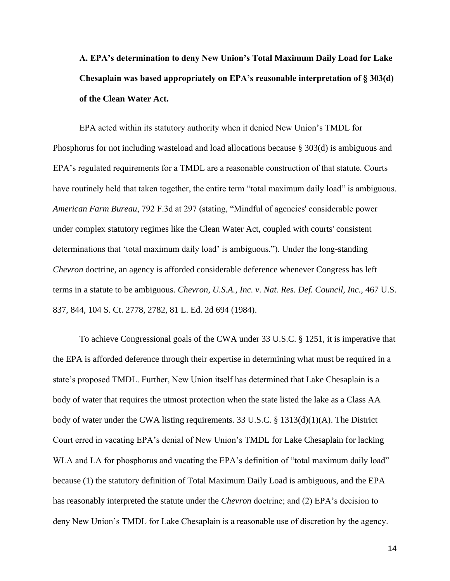**A. EPA's determination to deny New Union's Total Maximum Daily Load for Lake Chesaplain was based appropriately on EPA's reasonable interpretation of § 303(d) of the Clean Water Act.**

EPA acted within its statutory authority when it denied New Union's TMDL for Phosphorus for not including wasteload and load allocations because § 303(d) is ambiguous and EPA's regulated requirements for a TMDL are a reasonable construction of that statute. Courts have routinely held that taken together, the entire term "total maximum daily load" is ambiguous. *American Farm Bureau*, 792 F.3d at 297 (stating, "Mindful of agencies' considerable power under complex statutory regimes like the Clean Water Act, coupled with courts' consistent determinations that 'total maximum daily load' is ambiguous."). Under the long-standing *Chevron* doctrine, an agency is afforded considerable deference whenever Congress has left terms in a statute to be ambiguous. *Chevron, U.S.A., Inc. v. Nat. Res. Def. Council, Inc.,* 467 U.S. 837, 844, 104 S. Ct. 2778, 2782, 81 L. Ed. 2d 694 (1984).

To achieve Congressional goals of the CWA under 33 U.S.C. § 1251, it is imperative that the EPA is afforded deference through their expertise in determining what must be required in a state's proposed TMDL. Further, New Union itself has determined that Lake Chesaplain is a body of water that requires the utmost protection when the state listed the lake as a Class AA body of water under the CWA listing requirements. 33 U.S.C. § 1313(d)(1)(A). The District Court erred in vacating EPA's denial of New Union's TMDL for Lake Chesaplain for lacking WLA and LA for phosphorus and vacating the EPA's definition of "total maximum daily load" because (1) the statutory definition of Total Maximum Daily Load is ambiguous, and the EPA has reasonably interpreted the statute under the *Chevron* doctrine; and (2) EPA's decision to deny New Union's TMDL for Lake Chesaplain is a reasonable use of discretion by the agency.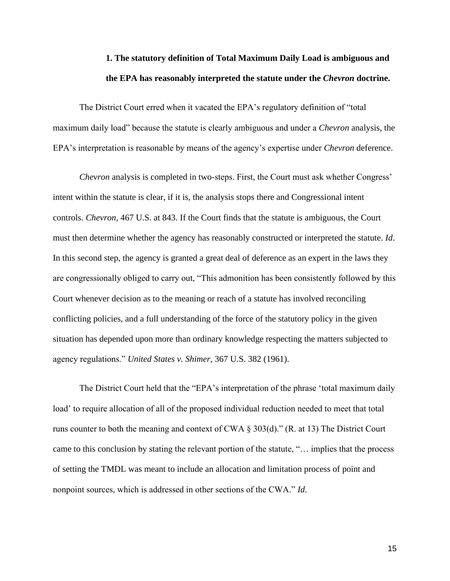## **1. The statutory definition of Total Maximum Daily Load is ambiguous and the EPA has reasonably interpreted the statute under the** *Chevron* **doctrine.**

The District Court erred when it vacated the EPA's regulatory definition of "total maximum daily load" because the statute is clearly ambiguous and under a *Chevron* analysis, the EPA's interpretation is reasonable by means of the agency's expertise under *Chevron* deference.

*Chevron* analysis is completed in two-steps. First, the Court must ask whether Congress' intent within the statute is clear, if it is, the analysis stops there and Congressional intent controls. *Chevron*, 467 U.S. at 843. If the Court finds that the statute is ambiguous, the Court must then determine whether the agency has reasonably constructed or interpreted the statute. *Id*. In this second step, the agency is granted a great deal of deference as an expert in the laws they are congressionally obliged to carry out, "This admonition has been consistently followed by this Court whenever decision as to the meaning or reach of a statute has involved reconciling conflicting policies, and a full understanding of the force of the statutory policy in the given situation has depended upon more than ordinary knowledge respecting the matters subjected to agency regulations." *United States v. Shimer*, 367 U.S. 382 (1961).

The District Court held that the "EPA's interpretation of the phrase 'total maximum daily load' to require allocation of all of the proposed individual reduction needed to meet that total runs counter to both the meaning and context of CWA § 303(d)." (R. at 13) The District Court came to this conclusion by stating the relevant portion of the statute, "… implies that the process of setting the TMDL was meant to include an allocation and limitation process of point and nonpoint sources, which is addressed in other sections of the CWA." *Id*.

15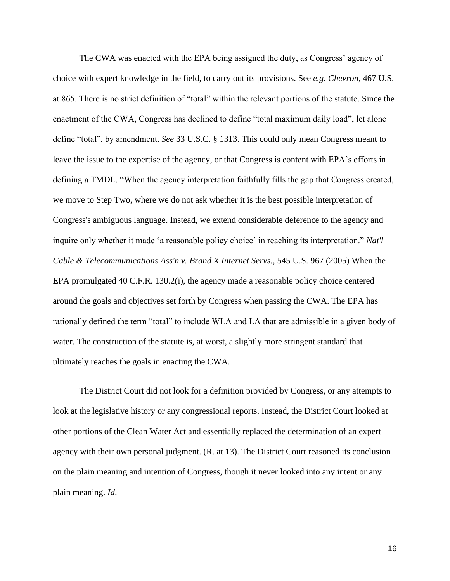The CWA was enacted with the EPA being assigned the duty, as Congress' agency of choice with expert knowledge in the field, to carry out its provisions. See *e.g. Chevron*, 467 U.S. at 865. There is no strict definition of "total" within the relevant portions of the statute. Since the enactment of the CWA, Congress has declined to define "total maximum daily load", let alone define "total", by amendment. *See* 33 U.S.C. § 1313. This could only mean Congress meant to leave the issue to the expertise of the agency, or that Congress is content with EPA's efforts in defining a TMDL. "When the agency interpretation faithfully fills the gap that Congress created, we move to Step Two, where we do not ask whether it is the best possible interpretation of Congress's ambiguous language. Instead, we extend considerable deference to the agency and inquire only whether it made 'a reasonable policy choice' in reaching its interpretation." *Nat'l Cable & Telecommunications Ass'n v. Brand X Internet Servs.*, 545 U.S. 967 (2005) When the EPA promulgated 40 C.F.R. 130.2(i), the agency made a reasonable policy choice centered around the goals and objectives set forth by Congress when passing the CWA. The EPA has rationally defined the term "total" to include WLA and LA that are admissible in a given body of water. The construction of the statute is, at worst, a slightly more stringent standard that ultimately reaches the goals in enacting the CWA.

The District Court did not look for a definition provided by Congress, or any attempts to look at the legislative history or any congressional reports. Instead, the District Court looked at other portions of the Clean Water Act and essentially replaced the determination of an expert agency with their own personal judgment. (R. at 13). The District Court reasoned its conclusion on the plain meaning and intention of Congress, though it never looked into any intent or any plain meaning. *Id*.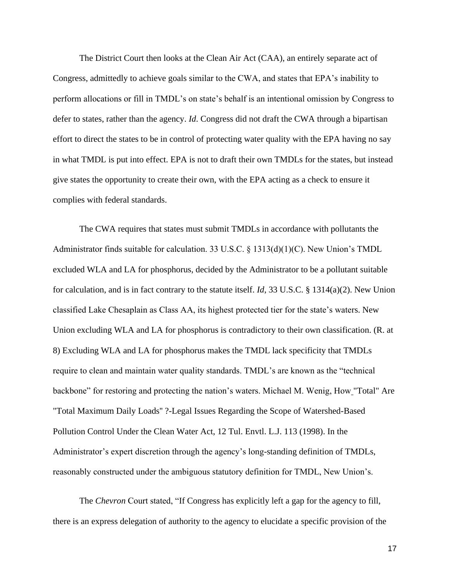The District Court then looks at the Clean Air Act (CAA), an entirely separate act of Congress, admittedly to achieve goals similar to the CWA, and states that EPA's inability to perform allocations or fill in TMDL's on state's behalf is an intentional omission by Congress to defer to states, rather than the agency. *Id*. Congress did not draft the CWA through a bipartisan effort to direct the states to be in control of protecting water quality with the EPA having no say in what TMDL is put into effect. EPA is not to draft their own TMDLs for the states, but instead give states the opportunity to create their own, with the EPA acting as a check to ensure it complies with federal standards.

The CWA requires that states must submit TMDLs in accordance with pollutants the Administrator finds suitable for calculation. 33 U.S.C. § 1313(d)(1)(C). New Union's TMDL excluded WLA and LA for phosphorus, decided by the Administrator to be a pollutant suitable for calculation, and is in fact contrary to the statute itself. *Id*, 33 U.S.C. § 1314(a)(2). New Union classified Lake Chesaplain as Class AA, its highest protected tier for the state's waters. New Union excluding WLA and LA for phosphorus is contradictory to their own classification. (R. at 8) Excluding WLA and LA for phosphorus makes the TMDL lack specificity that TMDLs require to clean and maintain water quality standards. TMDL's are known as the "technical backbone" for restoring and protecting the nation's waters. Michael M. Wenig, How "Total" Are "Total Maximum Daily Loads'' ?-Legal Issues Regarding the Scope of Watershed-Based Pollution Control Under the Clean Water Act, 12 Tul. Envtl. L.J. 113 (1998). In the Administrator's expert discretion through the agency's long-standing definition of TMDLs, reasonably constructed under the ambiguous statutory definition for TMDL, New Union's.

The *Chevron* Court stated, "If Congress has explicitly left a gap for the agency to fill, there is an express delegation of authority to the agency to elucidate a specific provision of the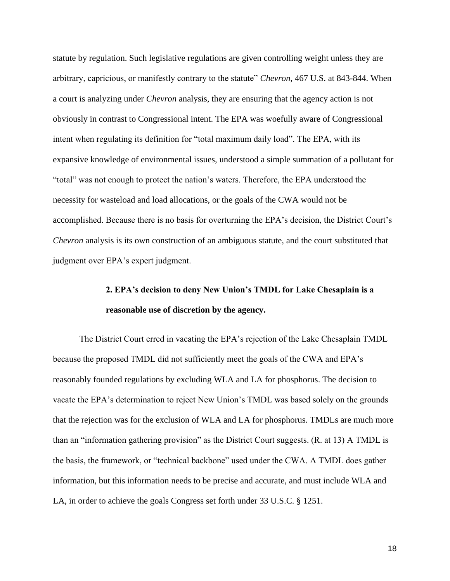statute by regulation. Such legislative regulations are given controlling weight unless they are arbitrary, capricious, or manifestly contrary to the statute" *Chevron*, 467 U.S. at 843-844. When a court is analyzing under *Chevron* analysis, they are ensuring that the agency action is not obviously in contrast to Congressional intent. The EPA was woefully aware of Congressional intent when regulating its definition for "total maximum daily load". The EPA, with its expansive knowledge of environmental issues, understood a simple summation of a pollutant for "total" was not enough to protect the nation's waters. Therefore, the EPA understood the necessity for wasteload and load allocations, or the goals of the CWA would not be accomplished. Because there is no basis for overturning the EPA's decision, the District Court's *Chevron* analysis is its own construction of an ambiguous statute, and the court substituted that judgment over EPA's expert judgment.

## **2. EPA's decision to deny New Union's TMDL for Lake Chesaplain is a reasonable use of discretion by the agency.**

The District Court erred in vacating the EPA's rejection of the Lake Chesaplain TMDL because the proposed TMDL did not sufficiently meet the goals of the CWA and EPA's reasonably founded regulations by excluding WLA and LA for phosphorus. The decision to vacate the EPA's determination to reject New Union's TMDL was based solely on the grounds that the rejection was for the exclusion of WLA and LA for phosphorus. TMDLs are much more than an "information gathering provision" as the District Court suggests. (R. at 13) A TMDL is the basis, the framework, or "technical backbone" used under the CWA. A TMDL does gather information, but this information needs to be precise and accurate, and must include WLA and LA, in order to achieve the goals Congress set forth under 33 U.S.C. § 1251.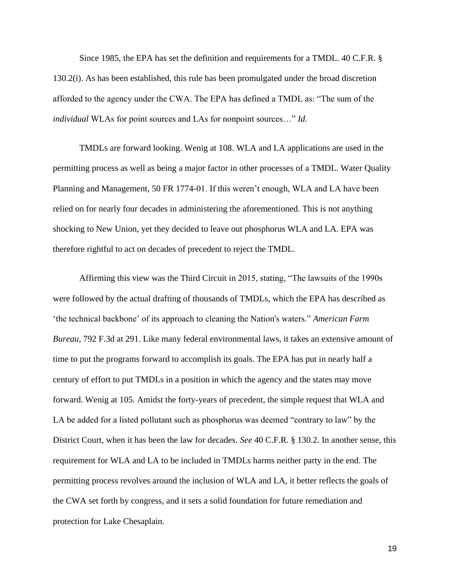Since 1985, the EPA has set the definition and requirements for a TMDL. 40 C.F.R. § 130.2(i). As has been established, this rule has been promulgated under the broad discretion afforded to the agency under the CWA. The EPA has defined a TMDL as: "The sum of the *individual* WLAs for point sources and LAs for nonpoint sources…" *Id.*

TMDLs are forward looking. Wenig at 108. WLA and LA applications are used in the permitting process as well as being a major factor in other processes of a TMDL. Water Quality Planning and Management, 50 FR 1774-01. If this weren't enough, WLA and LA have been relied on for nearly four decades in administering the aforementioned. This is not anything shocking to New Union, yet they decided to leave out phosphorus WLA and LA. EPA was therefore rightful to act on decades of precedent to reject the TMDL.

Affirming this view was the Third Circuit in 2015, stating, "The lawsuits of the 1990s were followed by the actual drafting of thousands of TMDLs, which the EPA has described as 'the technical backbone' of its approach to cleaning the Nation's waters." *American Farm Bureau*, 792 F.3d at 291. Like many federal environmental laws, it takes an extensive amount of time to put the programs forward to accomplish its goals. The EPA has put in nearly half a century of effort to put TMDLs in a position in which the agency and the states may move forward. Wenig at 105. Amidst the forty-years of precedent, the simple request that WLA and LA be added for a listed pollutant such as phosphorus was deemed "contrary to law" by the District Court, when it has been the law for decades. *See* 40 C.F.R. § 130.2. In another sense, this requirement for WLA and LA to be included in TMDLs harms neither party in the end. The permitting process revolves around the inclusion of WLA and LA, it better reflects the goals of the CWA set forth by congress, and it sets a solid foundation for future remediation and protection for Lake Chesaplain.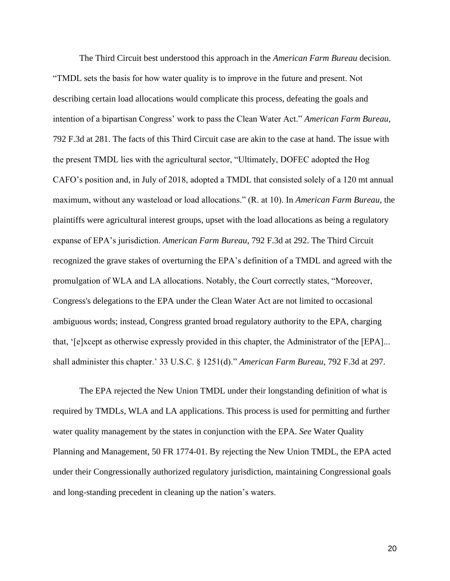The Third Circuit best understood this approach in the *American Farm Bureau* decision. "TMDL sets the basis for how water quality is to improve in the future and present. Not describing certain load allocations would complicate this process, defeating the goals and intention of a bipartisan Congress' work to pass the Clean Water Act." *American Farm Bureau*, 792 F.3d at 281. The facts of this Third Circuit case are akin to the case at hand. The issue with the present TMDL lies with the agricultural sector, "Ultimately, DOFEC adopted the Hog CAFO's position and, in July of 2018, adopted a TMDL that consisted solely of a 120 mt annual maximum, without any wasteload or load allocations." (R. at 10). In *American Farm Bureau*, the plaintiffs were agricultural interest groups, upset with the load allocations as being a regulatory expanse of EPA's jurisdiction. *American Farm Bureau*, 792 F.3d at 292. The Third Circuit recognized the grave stakes of overturning the EPA's definition of a TMDL and agreed with the promulgation of WLA and LA allocations. Notably, the Court correctly states, "Moreover, Congress's delegations to the EPA under the Clean Water Act are not limited to occasional ambiguous words; instead, Congress granted broad regulatory authority to the EPA, charging that, '[e]xcept as otherwise expressly provided in this chapter, the Administrator of the [EPA]... shall administer this chapter.' 33 U.S.C. § 1251(d)." *American Farm Bureau*, 792 F.3d at 297.

The EPA rejected the New Union TMDL under their longstanding definition of what is required by TMDLs, WLA and LA applications. This process is used for permitting and further water quality management by the states in conjunction with the EPA. *See* Water Quality Planning and Management, 50 FR 1774-01. By rejecting the New Union TMDL, the EPA acted under their Congressionally authorized regulatory jurisdiction, maintaining Congressional goals and long-standing precedent in cleaning up the nation's waters.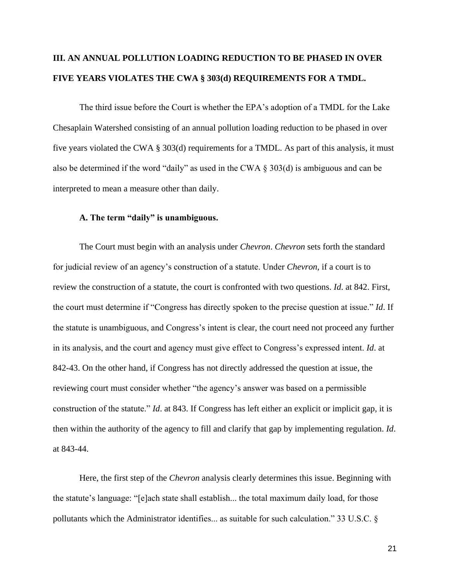## **III. AN ANNUAL POLLUTION LOADING REDUCTION TO BE PHASED IN OVER FIVE YEARS VIOLATES THE CWA § 303(d) REQUIREMENTS FOR A TMDL.**

The third issue before the Court is whether the EPA's adoption of a TMDL for the Lake Chesaplain Watershed consisting of an annual pollution loading reduction to be phased in over five years violated the CWA § 303(d) requirements for a TMDL. As part of this analysis, it must also be determined if the word "daily" as used in the CWA § 303(d) is ambiguous and can be interpreted to mean a measure other than daily.

#### **A. The term "daily" is unambiguous.**

The Court must begin with an analysis under *Chevron*. *Chevron* sets forth the standard for judicial review of an agency's construction of a statute. Under *Chevron,* if a court is to review the construction of a statute, the court is confronted with two questions. *Id*. at 842. First, the court must determine if "Congress has directly spoken to the precise question at issue." *Id*. If the statute is unambiguous, and Congress's intent is clear, the court need not proceed any further in its analysis, and the court and agency must give effect to Congress's expressed intent. *Id*. at 842-43. On the other hand, if Congress has not directly addressed the question at issue, the reviewing court must consider whether "the agency's answer was based on a permissible construction of the statute." *Id*. at 843. If Congress has left either an explicit or implicit gap, it is then within the authority of the agency to fill and clarify that gap by implementing regulation. *Id*. at 843-44.

Here, the first step of the *Chevron* analysis clearly determines this issue. Beginning with the statute's language: "[e]ach state shall establish... the total maximum daily load, for those pollutants which the Administrator identifies... as suitable for such calculation." 33 U.S.C. §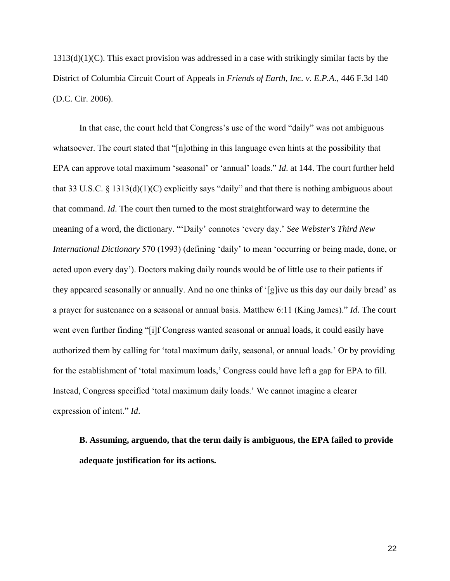$1313(d)(1)(C)$ . This exact provision was addressed in a case with strikingly similar facts by the District of Columbia Circuit Court of Appeals in *Friends of Earth, Inc. v. E.P.A.,* 446 F.3d 140 (D.C. Cir. 2006).

In that case, the court held that Congress's use of the word "daily" was not ambiguous whatsoever. The court stated that "[n]othing in this language even hints at the possibility that EPA can approve total maximum 'seasonal' or 'annual' loads." *Id*. at 144. The court further held that 33 U.S.C. § 1313(d)(1)(C) explicitly says "daily" and that there is nothing ambiguous about that command. *Id*. The court then turned to the most straightforward way to determine the meaning of a word, the dictionary. "'Daily' connotes 'every day.' *See Webster's Third New International Dictionary* 570 (1993) (defining 'daily' to mean 'occurring or being made, done, or acted upon every day'). Doctors making daily rounds would be of little use to their patients if they appeared seasonally or annually. And no one thinks of '[g]ive us this day our daily bread' as a prayer for sustenance on a seasonal or annual basis. Matthew 6:11 (King James)." *Id*. The court went even further finding "[i]f Congress wanted seasonal or annual loads, it could easily have authorized them by calling for 'total maximum daily, seasonal, or annual loads.' Or by providing for the establishment of 'total maximum loads,' Congress could have left a gap for EPA to fill. Instead, Congress specified 'total maximum daily loads.' We cannot imagine a clearer expression of intent." *Id*.

**B. Assuming, arguendo, that the term daily is ambiguous, the EPA failed to provide adequate justification for its actions.**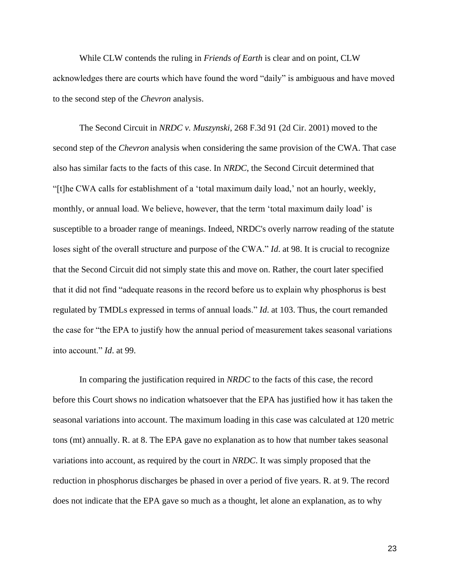While CLW contends the ruling in *Friends of Earth* is clear and on point, CLW acknowledges there are courts which have found the word "daily" is ambiguous and have moved to the second step of the *Chevron* analysis.

The Second Circuit in *NRDC v. Muszynski*, 268 F.3d 91 (2d Cir. 2001) moved to the second step of the *Chevron* analysis when considering the same provision of the CWA. That case also has similar facts to the facts of this case. In *NRDC*, the Second Circuit determined that "[t]he CWA calls for establishment of a 'total maximum daily load,' not an hourly, weekly, monthly, or annual load. We believe, however, that the term 'total maximum daily load' is susceptible to a broader range of meanings. Indeed, NRDC's overly narrow reading of the statute loses sight of the overall structure and purpose of the CWA." *Id*. at 98. It is crucial to recognize that the Second Circuit did not simply state this and move on. Rather, the court later specified that it did not find "adequate reasons in the record before us to explain why phosphorus is best regulated by TMDLs expressed in terms of annual loads." *Id*. at 103. Thus, the court remanded the case for "the EPA to justify how the annual period of measurement takes seasonal variations into account." *Id*. at 99.

In comparing the justification required in *NRDC* to the facts of this case, the record before this Court shows no indication whatsoever that the EPA has justified how it has taken the seasonal variations into account. The maximum loading in this case was calculated at 120 metric tons (mt) annually. R. at 8. The EPA gave no explanation as to how that number takes seasonal variations into account, as required by the court in *NRDC*. It was simply proposed that the reduction in phosphorus discharges be phased in over a period of five years. R. at 9. The record does not indicate that the EPA gave so much as a thought, let alone an explanation, as to why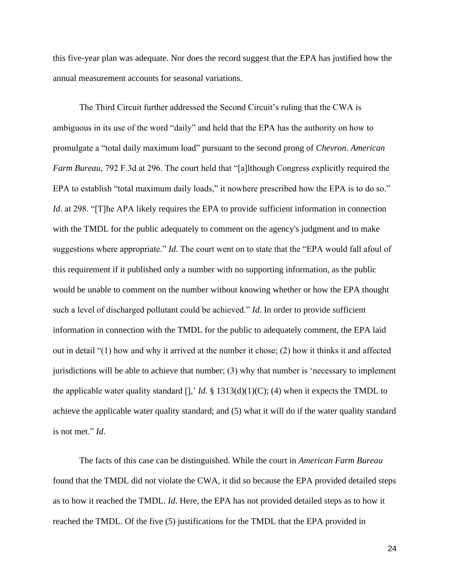this five-year plan was adequate. Nor does the record suggest that the EPA has justified how the annual measurement accounts for seasonal variations.

The Third Circuit further addressed the Second Circuit's ruling that the CWA is ambiguous in its use of the word "daily" and held that the EPA has the authority on how to promulgate a "total daily maximum load" pursuant to the second prong of *Chevron*. *American Farm Bureau*, 792 F.3d at 296. The court held that "[a]lthough Congress explicitly required the EPA to establish "total maximum daily loads," it nowhere prescribed how the EPA is to do so." *Id.* at 298. "[T]he APA likely requires the EPA to provide sufficient information in connection with the TMDL for the public adequately to comment on the agency's judgment and to make suggestions where appropriate." *Id*. The court went on to state that the "EPA would fall afoul of this requirement if it published only a number with no supporting information, as the public would be unable to comment on the number without knowing whether or how the EPA thought such a level of discharged pollutant could be achieved." *Id*. In order to provide sufficient information in connection with the TMDL for the public to adequately comment, the EPA laid out in detail "(1) how and why it arrived at the number it chose; (2) how it thinks it and affected jurisdictions will be able to achieve that number; (3) why that number is 'necessary to implement the applicable water quality standard  $[]$ , *Id.* § 1313(d)(1)(C); (4) when it expects the TMDL to achieve the applicable water quality standard; and (5) what it will do if the water quality standard is not met." *Id*.

The facts of this case can be distinguished. While the court in *American Farm Bureau* found that the TMDL did not violate the CWA, it did so because the EPA provided detailed steps as to how it reached the TMDL. *Id*. Here, the EPA has not provided detailed steps as to how it reached the TMDL. Of the five (5) justifications for the TMDL that the EPA provided in

24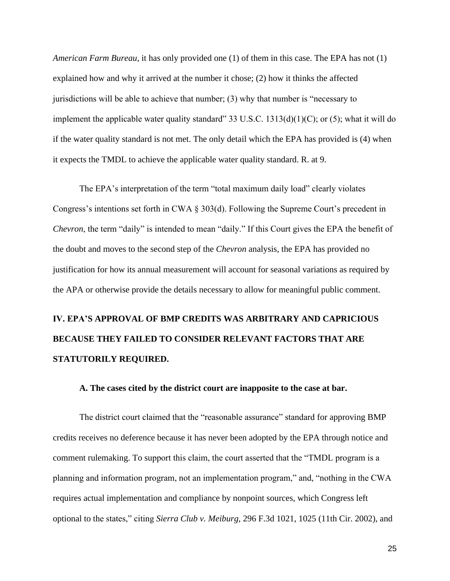*American Farm Bureau*, it has only provided one (1) of them in this case. The EPA has not (1) explained how and why it arrived at the number it chose; (2) how it thinks the affected jurisdictions will be able to achieve that number; (3) why that number is "necessary to implement the applicable water quality standard" 33 U.S.C.  $1313(d)(1)(C)$ ; or (5); what it will do if the water quality standard is not met. The only detail which the EPA has provided is (4) when it expects the TMDL to achieve the applicable water quality standard. R. at 9.

The EPA's interpretation of the term "total maximum daily load" clearly violates Congress's intentions set forth in CWA § 303(d). Following the Supreme Court's precedent in *Chevron*, the term "daily" is intended to mean "daily." If this Court gives the EPA the benefit of the doubt and moves to the second step of the *Chevron* analysis, the EPA has provided no justification for how its annual measurement will account for seasonal variations as required by the APA or otherwise provide the details necessary to allow for meaningful public comment.

# **IV. EPA'S APPROVAL OF BMP CREDITS WAS ARBITRARY AND CAPRICIOUS BECAUSE THEY FAILED TO CONSIDER RELEVANT FACTORS THAT ARE STATUTORILY REQUIRED.**

#### **A. The cases cited by the district court are inapposite to the case at bar.**

The district court claimed that the "reasonable assurance" standard for approving BMP credits receives no deference because it has never been adopted by the EPA through notice and comment rulemaking. To support this claim, the court asserted that the "TMDL program is a planning and information program, not an implementation program," and, "nothing in the CWA requires actual implementation and compliance by nonpoint sources, which Congress left optional to the states," citing *Sierra Club v. Meiburg,* 296 F.3d 1021, 1025 (11th Cir. 2002), and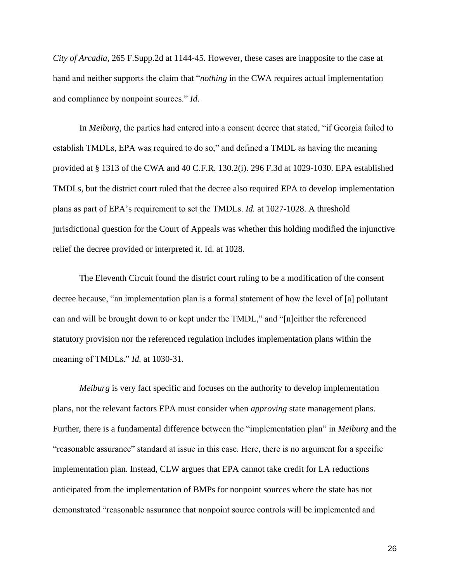*City of Arcadia,* 265 F.Supp.2d at 1144-45. However, these cases are inapposite to the case at hand and neither supports the claim that "*nothing* in the CWA requires actual implementation and compliance by nonpoint sources." *Id*.

In *Meiburg*, the parties had entered into a consent decree that stated, "if Georgia failed to establish TMDLs, EPA was required to do so," and defined a TMDL as having the meaning provided at § 1313 of the CWA and 40 C.F.R. 130.2(i). 296 F.3d at 1029-1030. EPA established TMDLs, but the district court ruled that the decree also required EPA to develop implementation plans as part of EPA's requirement to set the TMDLs. *Id.* at 1027-1028. A threshold jurisdictional question for the Court of Appeals was whether this holding modified the injunctive relief the decree provided or interpreted it. Id. at 1028.

The Eleventh Circuit found the district court ruling to be a modification of the consent decree because, "an implementation plan is a formal statement of how the level of [a] pollutant can and will be brought down to or kept under the TMDL," and "[n]either the referenced statutory provision nor the referenced regulation includes implementation plans within the meaning of TMDLs." *Id.* at 1030-31.

*Meiburg* is very fact specific and focuses on the authority to develop implementation plans, not the relevant factors EPA must consider when *approving* state management plans. Further, there is a fundamental difference between the "implementation plan" in *Meiburg* and the "reasonable assurance" standard at issue in this case. Here, there is no argument for a specific implementation plan. Instead, CLW argues that EPA cannot take credit for LA reductions anticipated from the implementation of BMPs for nonpoint sources where the state has not demonstrated "reasonable assurance that nonpoint source controls will be implemented and

26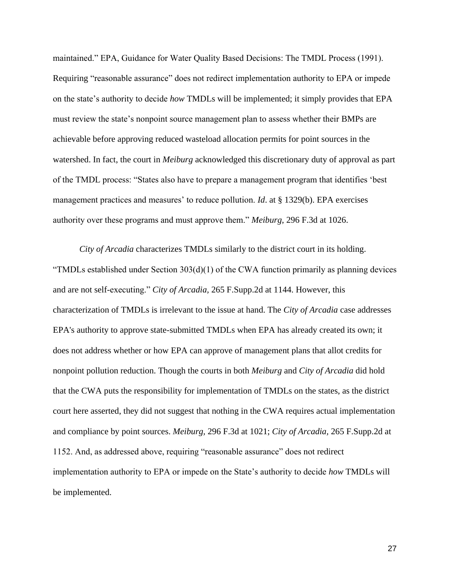maintained." EPA, Guidance for Water Quality Based Decisions: The TMDL Process (1991). Requiring "reasonable assurance" does not redirect implementation authority to EPA or impede on the state's authority to decide *how* TMDLs will be implemented; it simply provides that EPA must review the state's nonpoint source management plan to assess whether their BMPs are achievable before approving reduced wasteload allocation permits for point sources in the watershed. In fact, the court in *Meiburg* acknowledged this discretionary duty of approval as part of the TMDL process: "States also have to prepare a management program that identifies 'best management practices and measures' to reduce pollution. *Id*. at § 1329(b). EPA exercises authority over these programs and must approve them." *Meiburg*, 296 F.3d at 1026.

*City of Arcadia* characterizes TMDLs similarly to the district court in its holding. "TMDLs established under Section  $303(d)(1)$  of the CWA function primarily as planning devices and are not self-executing." *City of Arcadia,* 265 F.Supp.2d at 1144. However, this characterization of TMDLs is irrelevant to the issue at hand. The *City of Arcadia* case addresses EPA's authority to approve state-submitted TMDLs when EPA has already created its own; it does not address whether or how EPA can approve of management plans that allot credits for nonpoint pollution reduction. Though the courts in both *Meiburg* and *City of Arcadia* did hold that the CWA puts the responsibility for implementation of TMDLs on the states, as the district court here asserted, they did not suggest that nothing in the CWA requires actual implementation and compliance by point sources. *Meiburg,* 296 F.3d at 1021; *City of Arcadia,* 265 F.Supp.2d at 1152. And, as addressed above, requiring "reasonable assurance" does not redirect implementation authority to EPA or impede on the State's authority to decide *how* TMDLs will be implemented.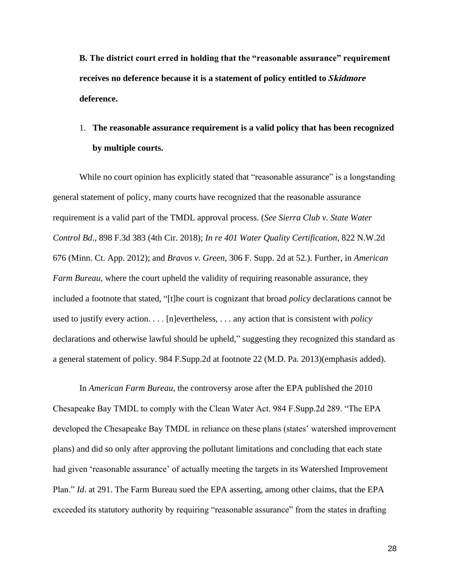**B. The district court erred in holding that the "reasonable assurance" requirement receives no deference because it is a statement of policy entitled to** *S***kidmore deference.**

## 1. **The reasonable assurance requirement is a valid policy that has been recognized by multiple courts.**

While no court opinion has explicitly stated that "reasonable assurance" is a longstanding general statement of policy, many courts have recognized that the reasonable assurance requirement is a valid part of the TMDL approval process. (*See Sierra Club v. State Water Control Bd*., 898 F.3d 383 (4th Cir. 2018); *In re 401 Water Quality Certification*, 822 N.W.2d 676 (Minn. Ct. App. 2012); and *Bravos v. Green*, 306 F. Supp. 2d at 52.). Further, in *American Farm Bureau*, where the court upheld the validity of requiring reasonable assurance, they included a footnote that stated, "[t]he court is cognizant that broad *policy* declarations cannot be used to justify every action. . . . [n]evertheless, . . . any action that is consistent with *policy*  declarations and otherwise lawful should be upheld," suggesting they recognized this standard as a general statement of policy. 984 F.Supp.2d at footnote 22 (M.D. Pa. 2013)(emphasis added).

In *American Farm Bureau*, the controversy arose after the EPA published the 2010 Chesapeake Bay TMDL to comply with the Clean Water Act. 984 F.Supp.2d 289. "The EPA developed the Chesapeake Bay TMDL in reliance on these plans (states' watershed improvement plans) and did so only after approving the pollutant limitations and concluding that each state had given 'reasonable assurance' of actually meeting the targets in its Watershed Improvement Plan." *Id*. at 291. The Farm Bureau sued the EPA asserting, among other claims, that the EPA exceeded its statutory authority by requiring "reasonable assurance" from the states in drafting

28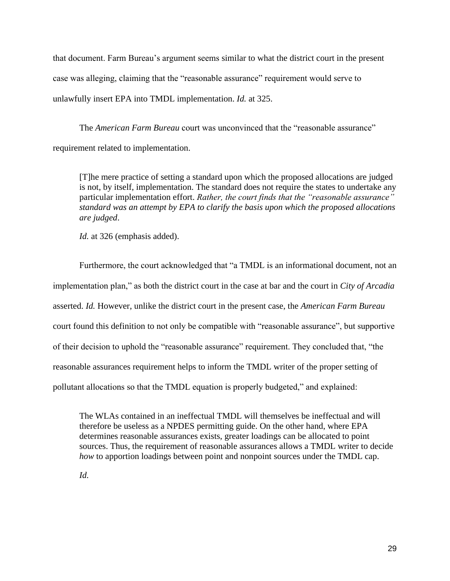that document. Farm Bureau's argument seems similar to what the district court in the present case was alleging, claiming that the "reasonable assurance" requirement would serve to unlawfully insert EPA into TMDL implementation. *Id.* at 325.

The *American Farm Bureau* court was unconvinced that the "reasonable assurance" requirement related to implementation.

[T]he mere practice of setting a standard upon which the proposed allocations are judged is not, by itself, implementation. The standard does not require the states to undertake any particular implementation effort. *Rather, the court finds that the "reasonable assurance" standard was an attempt by EPA to clarify the basis upon which the proposed allocations are judged*.

*Id.* at 326 (emphasis added).

Furthermore, the court acknowledged that "a TMDL is an informational document, not an implementation plan," as both the district court in the case at bar and the court in *City of Arcadia* asserted. *Id.* However, unlike the district court in the present case, the *American Farm Bureau* court found this definition to not only be compatible with "reasonable assurance", but supportive of their decision to uphold the "reasonable assurance" requirement. They concluded that, "the reasonable assurances requirement helps to inform the TMDL writer of the proper setting of pollutant allocations so that the TMDL equation is properly budgeted," and explained:

The WLAs contained in an ineffectual TMDL will themselves be ineffectual and will therefore be useless as a NPDES permitting guide. On the other hand, where EPA determines reasonable assurances exists, greater loadings can be allocated to point sources. Thus, the requirement of reasonable assurances allows a TMDL writer to decide *how* to apportion loadings between point and nonpoint sources under the TMDL cap.

*Id.*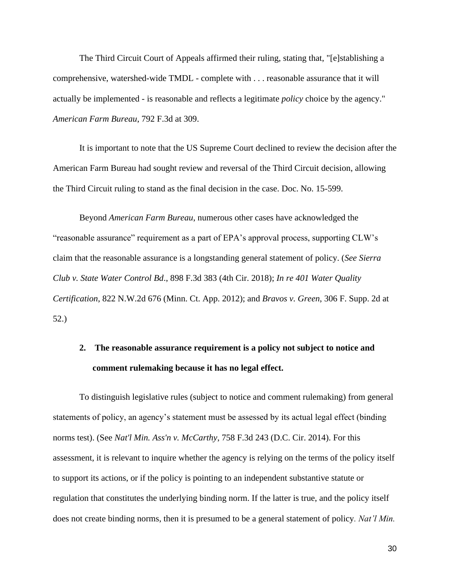The Third Circuit Court of Appeals affirmed their ruling, stating that, "[e]stablishing a comprehensive, watershed-wide TMDL - complete with . . . reasonable assurance that it will actually be implemented - is reasonable and reflects a legitimate *policy* choice by the agency." *American Farm Bureau*, 792 F.3d at 309.

It is important to note that the US Supreme Court declined to review the decision after the American Farm Bureau had sought review and reversal of the Third Circuit decision, allowing the Third Circuit ruling to stand as the final decision in the case. Doc. No. 15-599.

Beyond *American Farm Bureau*, numerous other cases have acknowledged the "reasonable assurance" requirement as a part of EPA's approval process, supporting CLW's claim that the reasonable assurance is a longstanding general statement of policy. (*See Sierra Club v. State Water Control Bd*., 898 F.3d 383 (4th Cir. 2018); *In re 401 Water Quality Certification*, 822 N.W.2d 676 (Minn. Ct. App. 2012); and *Bravos v. Green*, 306 F. Supp. 2d at 52.)

## **2. The reasonable assurance requirement is a policy not subject to notice and comment rulemaking because it has no legal effect.**

To distinguish legislative rules (subject to notice and comment rulemaking) from general statements of policy, an agency's statement must be assessed by its actual legal effect (binding norms test). (See *Nat'l Min. Ass'n v. McCarthy*, 758 F.3d 243 (D.C. Cir. 2014). For this assessment, it is relevant to inquire whether the agency is relying on the terms of the policy itself to support its actions, or if the policy is pointing to an independent substantive statute or regulation that constitutes the underlying binding norm. If the latter is true, and the policy itself does not create binding norms, then it is presumed to be a general statement of policy*. Nat'l Min.*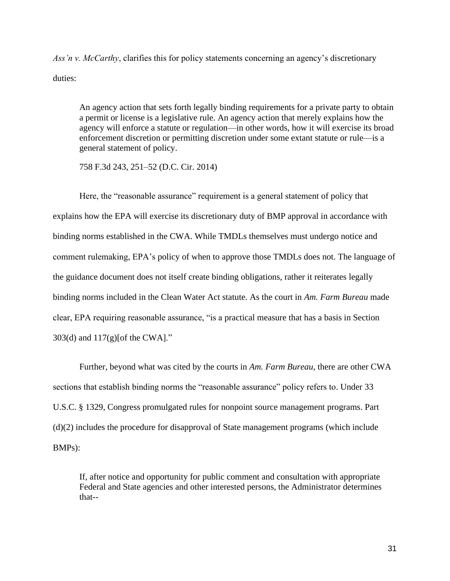*Ass'n v. McCarthy*, clarifies this for policy statements concerning an agency's discretionary duties:

An agency action that sets forth legally binding requirements for a private party to obtain a permit or license is a legislative rule. An agency action that merely explains how the agency will enforce a statute or regulation—in other words, how it will exercise its broad enforcement discretion or permitting discretion under some extant statute or rule—is a general statement of policy.

758 F.3d 243, 251–52 (D.C. Cir. 2014)

Here, the "reasonable assurance" requirement is a general statement of policy that explains how the EPA will exercise its discretionary duty of BMP approval in accordance with binding norms established in the CWA. While TMDLs themselves must undergo notice and comment rulemaking, EPA's policy of when to approve those TMDLs does not. The language of the guidance document does not itself create binding obligations, rather it reiterates legally binding norms included in the Clean Water Act statute. As the court in *Am. Farm Bureau* made clear, EPA requiring reasonable assurance, "is a practical measure that has a basis in Section 303(d) and 117(g)[of the CWA]."

Further, beyond what was cited by the courts in *Am. Farm Bureau*, there are other CWA sections that establish binding norms the "reasonable assurance" policy refers to. Under 33 U.S.C. § 1329, Congress promulgated rules for nonpoint source management programs. Part (d)(2) includes the procedure for disapproval of State management programs (which include BMPs):

If, after notice and opportunity for public comment and consultation with appropriate Federal and State agencies and other interested persons, the Administrator determines that--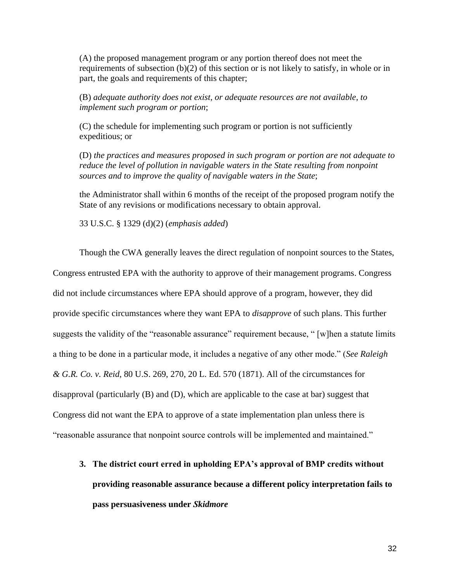(A) the proposed management program or any portion thereof does not meet the requirements of subsection (b)(2) of this section or is not likely to satisfy, in whole or in part, the goals and requirements of this chapter;

(B) *adequate authority does not exist, or adequate resources are not available, to implement such program or portion*;

(C) the schedule for implementing such program or portion is not sufficiently expeditious; or

(D) *the practices and measures proposed in such program or portion are not adequate to reduce the level of pollution in navigable waters in the State resulting from nonpoint sources and to improve the quality of navigable waters in the State*;

the Administrator shall within 6 months of the receipt of the proposed program notify the State of any revisions or modifications necessary to obtain approval.

33 U.S.C. § 1329 (d)(2) (*emphasis added*)

Though the CWA generally leaves the direct regulation of nonpoint sources to the States, Congress entrusted EPA with the authority to approve of their management programs. Congress did not include circumstances where EPA should approve of a program, however, they did provide specific circumstances where they want EPA to *disapprove* of such plans. This further suggests the validity of the "reasonable assurance" requirement because, " [w]hen a statute limits a thing to be done in a particular mode, it includes a negative of any other mode." (*See Raleigh & G.R. Co. v. Reid*, 80 U.S. 269, 270, 20 L. Ed. 570 (1871). All of the circumstances for disapproval (particularly (B) and (D), which are applicable to the case at bar) suggest that Congress did not want the EPA to approve of a state implementation plan unless there is "reasonable assurance that nonpoint source controls will be implemented and maintained."

**3. The district court erred in upholding EPA's approval of BMP credits without providing reasonable assurance because a different policy interpretation fails to pass persuasiveness under** *Skidmore*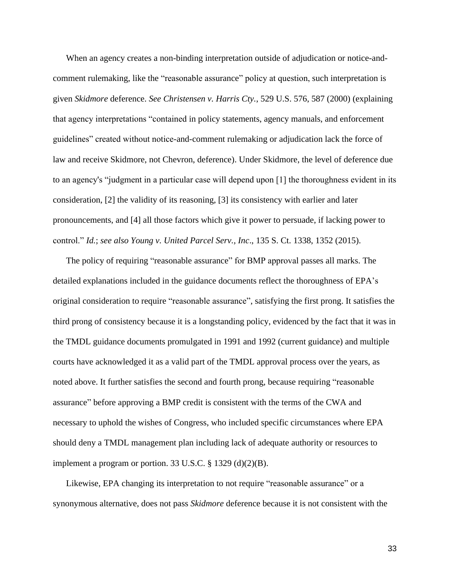When an agency creates a non-binding interpretation outside of adjudication or notice-andcomment rulemaking, like the "reasonable assurance" policy at question, such interpretation is given *Skidmore* deference. *See Christensen v. Harris Cty.*, 529 U.S. 576, 587 (2000) (explaining that agency interpretations "contained in policy statements, agency manuals, and enforcement guidelines" created without notice-and-comment rulemaking or adjudication lack the force of law and receive Skidmore, not Chevron, deference). Under Skidmore, the level of deference due to an agency's "judgment in a particular case will depend upon [1] the thoroughness evident in its consideration, [2] the validity of its reasoning, [3] its consistency with earlier and later pronouncements, and [4] all those factors which give it power to persuade, if lacking power to control." *Id.*; *see also Young v. United Parcel Serv., Inc*., 135 S. Ct. 1338, 1352 (2015).

The policy of requiring "reasonable assurance" for BMP approval passes all marks. The detailed explanations included in the guidance documents reflect the thoroughness of EPA's original consideration to require "reasonable assurance", satisfying the first prong. It satisfies the third prong of consistency because it is a longstanding policy, evidenced by the fact that it was in the TMDL guidance documents promulgated in 1991 and 1992 (current guidance) and multiple courts have acknowledged it as a valid part of the TMDL approval process over the years, as noted above. It further satisfies the second and fourth prong, because requiring "reasonable assurance" before approving a BMP credit is consistent with the terms of the CWA and necessary to uphold the wishes of Congress, who included specific circumstances where EPA should deny a TMDL management plan including lack of adequate authority or resources to implement a program or portion. 33 U.S.C.  $\S$  1329 (d)(2)(B).

Likewise, EPA changing its interpretation to not require "reasonable assurance" or a synonymous alternative, does not pass *Skidmore* deference because it is not consistent with the

33